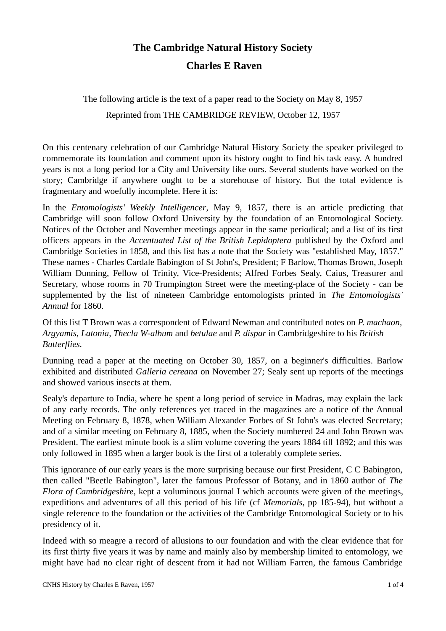## **The Cambridge Natural History Society**

## **Charles E Raven**

The following article is the text of a paper read to the Society on May 8, 1957 Reprinted from THE CAMBRIDGE REVIEW, October 12, 1957

On this centenary celebration of our Cambridge Natural History Society the speaker privileged to commemorate its foundation and comment upon its history ought to find his task easy. A hundred years is not a long period for a City and University like ours. Several students have worked on the story; Cambridge if anywhere ought to be a storehouse of history. But the total evidence is fragmentary and woefully incomplete. Here it is:

In the *Entomologists' Weekly Intelligencer*, May 9, 1857, there is an article predicting that Cambridge will soon follow Oxford University by the foundation of an Entomological Society. Notices of the October and November meetings appear in the same periodical; and a list of its first officers appears in the *Accentuated List of the British Lepidoptera* published by the Oxford and Cambridge Societies in 1858, and this list has a note that the Society was "established May, 1857." These names - Charles Cardale Babington of St John's, President; F Barlow, Thomas Brown, Joseph William Dunning, Fellow of Trinity, Vice-Presidents; Alfred Forbes Sealy, Caius, Treasurer and Secretary, whose rooms in 70 Trumpington Street were the meeting-place of the Society - can be supplemented by the list of nineteen Cambridge entomologists printed in *The Entomologists' Annual* for 1860.

Of this list T Brown was a correspondent of Edward Newman and contributed notes on *P. machaon, Argyamis, Latonia, Thecla W-album* and *betulae* and *P. dispar* in Cambridgeshire to his *British Butterflies.*

Dunning read a paper at the meeting on October 30, 1857, on a beginner's difficulties. Barlow exhibited and distributed *Galleria cereana* on November 27; Sealy sent up reports of the meetings and showed various insects at them.

Sealy's departure to India, where he spent a long period of service in Madras, may explain the lack of any early records. The only references yet traced in the magazines are a notice of the Annual Meeting on February 8, 1878, when William Alexander Forbes of St John's was elected Secretary; and of a similar meeting on February 8, 1885, when the Society numbered 24 and John Brown was President. The earliest minute book is a slim volume covering the years 1884 till 1892; and this was only followed in 1895 when a larger book is the first of a tolerably complete series.

This ignorance of our early years is the more surprising because our first President, C C Babington, then called "Beetle Babington", later the famous Professor of Botany, and in 1860 author of *The Flora of Cambridgeshire*, kept a voluminous journal I which accounts were given of the meetings, expeditions and adventures of all this period of his life (cf *Memorials*, pp 185-94), but without a single reference to the foundation or the activities of the Cambridge Entomological Society or to his presidency of it.

Indeed with so meagre a record of allusions to our foundation and with the clear evidence that for its first thirty five years it was by name and mainly also by membership limited to entomology, we might have had no clear right of descent from it had not William Farren, the famous Cambridge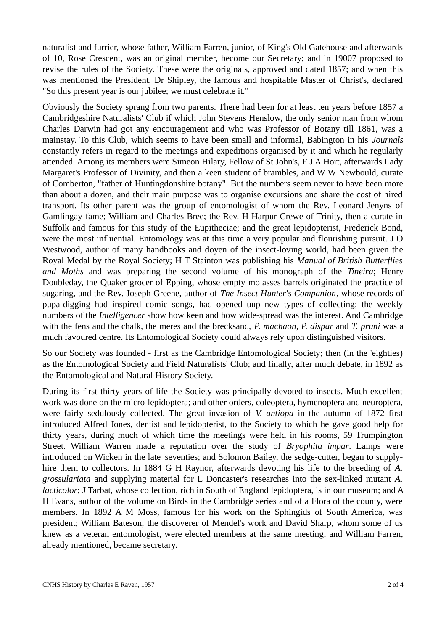naturalist and furrier, whose father, William Farren, junior, of King's Old Gatehouse and afterwards of 10, Rose Crescent, was an original member, become our Secretary; and in 19007 proposed to revise the rules of the Society. These were the originals, approved and dated 1857; and when this was mentioned the President, Dr Shipley, the famous and hospitable Master of Christ's, declared "So this present year is our jubilee; we must celebrate it."

Obviously the Society sprang from two parents. There had been for at least ten years before 1857 a Cambridgeshire Naturalists' Club if which John Stevens Henslow, the only senior man from whom Charles Darwin had got any encouragement and who was Professor of Botany till 1861, was a mainstay. To this Club, which seems to have been small and informal, Babington in his *Journals* constantly refers in regard to the meetings and expeditions organised by it and which he regularly attended. Among its members were Simeon Hilary, Fellow of St John's, F J A Hort, afterwards Lady Margaret's Professor of Divinity, and then a keen student of brambles, and W W Newbould, curate of Comberton, "father of Huntingdonshire botany". But the numbers seem never to have been more than about a dozen, and their main purpose was to organise excursions and share the cost of hired transport. Its other parent was the group of entomologist of whom the Rev. Leonard Jenyns of Gamlingay fame; William and Charles Bree; the Rev. H Harpur Crewe of Trinity, then a curate in Suffolk and famous for this study of the Eupitheciae; and the great lepidopterist, Frederick Bond, were the most influential. Entomology was at this time a very popular and flourishing pursuit. J O Westwood, author of many handbooks and doyen of the insect-loving world, had been given the Royal Medal by the Royal Society; H T Stainton was publishing his *Manual of British Butterflies and Moths* and was preparing the second volume of his monograph of the *Tineira*; Henry Doubleday, the Quaker grocer of Epping, whose empty molasses barrels originated the practice of sugaring, and the Rev. Joseph Greene, author of *The Insect Hunter's Companion*, whose records of pupa-digging had inspired comic songs, had opened uup new types of collecting; the weekly numbers of the *Intelligencer* show how keen and how wide-spread was the interest. And Cambridge with the fens and the chalk, the meres and the brecksand, *P. machaon, P. dispar* and *T. pruni* was a much favoured centre. Its Entomological Society could always rely upon distinguished visitors.

So our Society was founded - first as the Cambridge Entomological Society; then (in the 'eighties) as the Entomological Society and Field Naturalists' Club; and finally, after much debate, in 1892 as the Entomological and Natural History Society.

During its first thirty years of life the Society was principally devoted to insects. Much excellent work was done on the micro-lepidoptera; and other orders, coleoptera, hymenoptera and neuroptera, were fairly sedulously collected. The great invasion of *V. antiopa* in the autumn of 1872 first introduced Alfred Jones, dentist and lepidopterist, to the Society to which he gave good help for thirty years, during much of which time the meetings were held in his rooms, 59 Trumpington Street. William Warren made a reputation over the study of *Bryophila impar*. Lamps were introduced on Wicken in the late 'seventies; and Solomon Bailey, the sedge-cutter, began to supplyhire them to collectors. In 1884 G H Raynor, afterwards devoting his life to the breeding of *A. grossulariata* and supplying material for L Doncaster's researches into the sex-linked mutant *A. lacticolor*; J Tarbat, whose collection, rich in South of England lepidoptera, is in our museum; and A H Evans, author of the volume on Birds in the Cambridge series and of a Flora of the county, were members. In 1892 A M Moss, famous for his work on the Sphingids of South America, was president; William Bateson, the discoverer of Mendel's work and David Sharp, whom some of us knew as a veteran entomologist, were elected members at the same meeting; and William Farren, already mentioned, became secretary.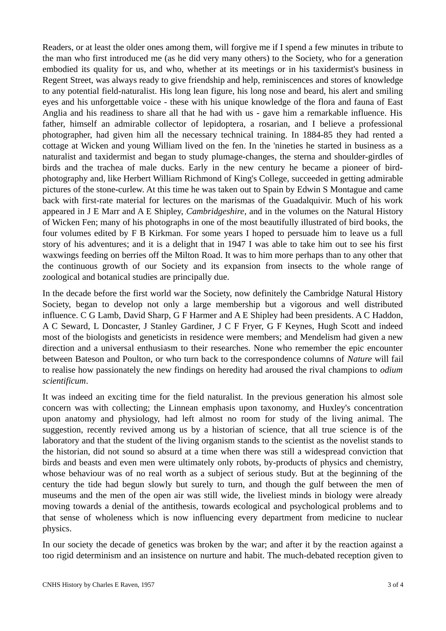Readers, or at least the older ones among them, will forgive me if I spend a few minutes in tribute to the man who first introduced me (as he did very many others) to the Society, who for a generation embodied its quality for us, and who, whether at its meetings or in his taxidermist's business in Regent Street, was always ready to give friendship and help, reminiscences and stores of knowledge to any potential field-naturalist. His long lean figure, his long nose and beard, his alert and smiling eyes and his unforgettable voice - these with his unique knowledge of the flora and fauna of East Anglia and his readiness to share all that he had with us - gave him a remarkable influence. His father, himself an admirable collector of lepidoptera, a rosarian, and I believe a professional photographer, had given him all the necessary technical training. In 1884-85 they had rented a cottage at Wicken and young William lived on the fen. In the 'nineties he started in business as a naturalist and taxidermist and began to study plumage-changes, the sterna and shoulder-girdles of birds and the trachea of male ducks. Early in the new century he became a pioneer of birdphotography and, like Herbert William Richmond of King's College, succeeded in getting admirable pictures of the stone-curlew. At this time he was taken out to Spain by Edwin S Montague and came back with first-rate material for lectures on the marismas of the Guadalquivir. Much of his work appeared in J E Marr and A E Shipley, *Cambridgeshire*, and in the volumes on the Natural History of Wicken Fen; many of his photographs in one of the most beautifully illustrated of bird books, the four volumes edited by F B Kirkman. For some years I hoped to persuade him to leave us a full story of his adventures; and it is a delight that in 1947 I was able to take him out to see his first waxwings feeding on berries off the Milton Road. It was to him more perhaps than to any other that the continuous growth of our Society and its expansion from insects to the whole range of zoological and botanical studies are principally due.

In the decade before the first world war the Society, now definitely the Cambridge Natural History Society, began to develop not only a large membership but a vigorous and well distributed influence. C G Lamb, David Sharp, G F Harmer and A E Shipley had been presidents. A C Haddon, A C Seward, L Doncaster, J Stanley Gardiner, J C F Fryer, G F Keynes, Hugh Scott and indeed most of the biologists and geneticists in residence were members; and Mendelism had given a new direction and a universal enthusiasm to their researches. None who remember the epic encounter between Bateson and Poulton, or who turn back to the correspondence columns of *Nature* will fail to realise how passionately the new findings on heredity had aroused the rival champions to *odium scientificum*.

It was indeed an exciting time for the field naturalist. In the previous generation his almost sole concern was with collecting; the Linnean emphasis upon taxonomy, and Huxley's concentration upon anatomy and physiology, had left almost no room for study of the living animal. The suggestion, recently revived among us by a historian of science, that all true science is of the laboratory and that the student of the living organism stands to the scientist as the novelist stands to the historian, did not sound so absurd at a time when there was still a widespread conviction that birds and beasts and even men were ultimately only robots, by-products of physics and chemistry, whose behaviour was of no real worth as a subject of serious study. But at the beginning of the century the tide had begun slowly but surely to turn, and though the gulf between the men of museums and the men of the open air was still wide, the liveliest minds in biology were already moving towards a denial of the antithesis, towards ecological and psychological problems and to that sense of wholeness which is now influencing every department from medicine to nuclear physics.

In our society the decade of genetics was broken by the war; and after it by the reaction against a too rigid determinism and an insistence on nurture and habit. The much-debated reception given to